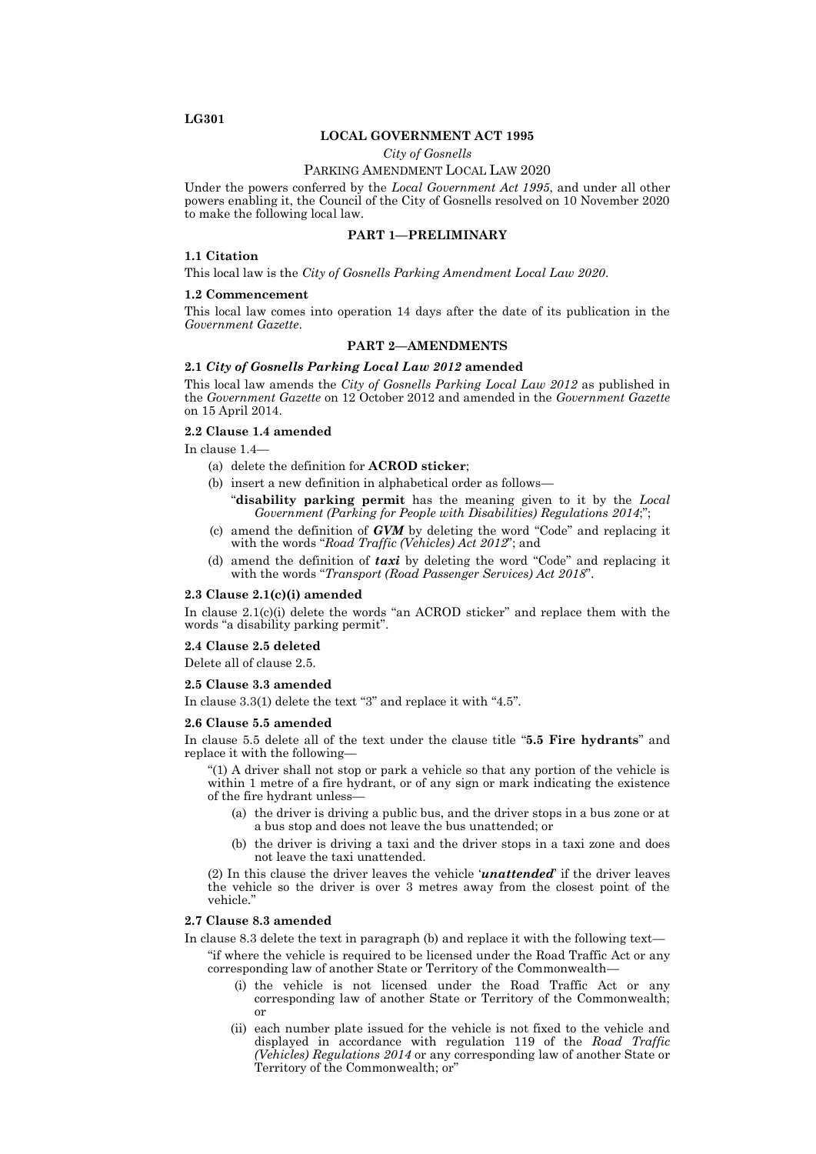# **LG301**

## **LOCAL GOVERNMENT ACT 1995**

*City of Gosnells*

## PARKING AMENDMENT LOCAL LAW 2020

Under the powers conferred by the *Local Government Act 1995*, and under all other powers enabling it, the Council of the City of Gosnells resolved on 10 November 2020 to make the following local law.

# **PART 1—PRELIMINARY**

#### **1.1 Citation**

This local law is the *City of Gosnells Parking Amendment Local Law 2020*.

#### **1.2 Commencement**

This local law comes into operation 14 days after the date of its publication in the *Government Gazette*.

## **PART 2—AMENDMENTS**

### **2.1** *City of Gosnells Parking Local Law 2012* **amended**

This local law amends the *City of Gosnells Parking Local Law 2012* as published in the *Government Gazette* on 12 October 2012 and amended in the *Government Gazette*  on 15 April 2014.

# **2.2 Clause 1.4 amended**

In clause 1.4—

- (a) delete the definition for **ACROD sticker**;
- (b) insert a new definition in alphabetical order as follows—
	- "**disability parking permit** has the meaning given to it by the *Local Government (Parking for People with Disabilities) Regulations 2014*;";
- (c) amend the definition of *GVM* by deleting the word "Code" and replacing it with the words "*Road Traffic (Vehicles) Act 2012*"; and
- (d) amend the definition of *taxi* by deleting the word "Code" and replacing it with the words "*Transport (Road Passenger Services) Act 2018*".

## **2.3 Clause 2.1(c)(i) amended**

In clause 2.1(c)(i) delete the words "an ACROD sticker" and replace them with the words "a disability parking permit".

## **2.4 Clause 2.5 deleted**

Delete all of clause 2.5.

### **2.5 Clause 3.3 amended**

In clause 3.3(1) delete the text "3" and replace it with "4.5".

#### **2.6 Clause 5.5 amended**

In clause 5.5 delete all of the text under the clause title "**5.5 Fire hydrants**" and replace it with the following—

"(1) A driver shall not stop or park a vehicle so that any portion of the vehicle is within 1 metre of a fire hydrant, or of any sign or mark indicating the existence of the fire hydrant unless—

- (a) the driver is driving a public bus, and the driver stops in a bus zone or at a bus stop and does not leave the bus unattended; or
- (b) the driver is driving a taxi and the driver stops in a taxi zone and does not leave the taxi unattended.

(2) In this clause the driver leaves the vehicle '*unattended*' if the driver leaves the vehicle so the driver is over 3 metres away from the closest point of the vehicle."

### **2.7 Clause 8.3 amended**

In clause 8.3 delete the text in paragraph (b) and replace it with the following text—

- "if where the vehicle is required to be licensed under the Road Traffic Act or any corresponding law of another State or Territory of the Commonwealth—
	- (i) the vehicle is not licensed under the Road Traffic Act or any corresponding law of another State or Territory of the Commonwealth; or
	- (ii) each number plate issued for the vehicle is not fixed to the vehicle and displayed in accordance with regulation 119 of the *Road Traffic (Vehicles) Regulations 2014* or any corresponding law of another State or Territory of the Commonwealth; or"